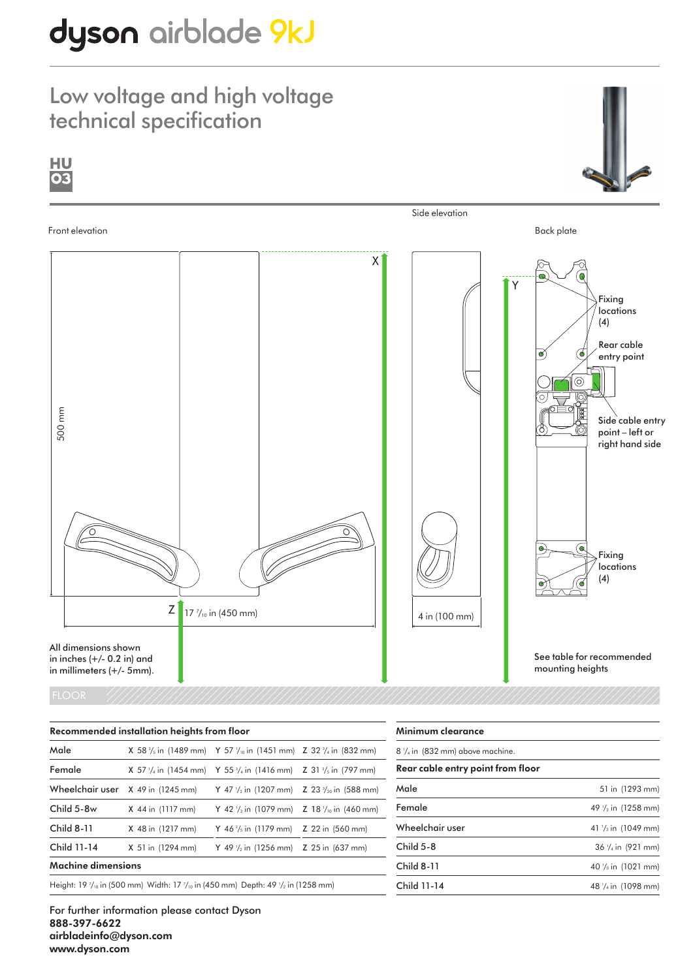# dyson airblade 9kJ

### Low voltage and high voltage technical specification



#### FLOOR

| Recommended installation heights from floor |                                                                                                                 |                                                                                                        |  |  |
|---------------------------------------------|-----------------------------------------------------------------------------------------------------------------|--------------------------------------------------------------------------------------------------------|--|--|
| Male                                        |                                                                                                                 | <b>X</b> 58 $\frac{3}{5}$ in (1489 mm) Y 57 $\frac{1}{10}$ in (1451 mm) Z 32 $\frac{3}{4}$ in (832 mm) |  |  |
| Female                                      |                                                                                                                 | <b>X</b> 57 $\frac{1}{4}$ in (1454 mm) Y 55 $\frac{3}{4}$ in (1416 mm) Z 31 $\frac{2}{5}$ in (797 mm)  |  |  |
| Wheelchair user                             | $X$ 49 in (1245 mm)                                                                                             | Y 47 $\frac{1}{2}$ in (1207 mm) Z 23 $\frac{3}{20}$ in (588 mm)                                        |  |  |
| Child 5-8w                                  | X 44 in (1117 mm)                                                                                               | Y 42 $\frac{1}{2}$ in (1079 mm) Z 18 $\frac{1}{10}$ in (460 mm)                                        |  |  |
| <b>Child 8-11</b>                           | X 48 in (1217 mm)                                                                                               | Y 46 $\frac{2}{5}$ in (1179 mm) Z 22 in (560 mm)                                                       |  |  |
| Child 11-14                                 | X 51 in (1294 mm)                                                                                               | Y 49 $\frac{1}{2}$ in (1256 mm) Z 25 in (637 mm)                                                       |  |  |
| Machine dimensions                          |                                                                                                                 |                                                                                                        |  |  |
|                                             | Height: 19 $\frac{7}{10}$ in (500 mm) Width: 17 $\frac{7}{10}$ in (450 mm) Depth: 49 $\frac{7}{2}$ in (1258 mm) |                                                                                                        |  |  |

For further information please contact Dyson 888-397-6622 airbladeinfo@dyson.com www.dyson.com

| Minimum clearance                         |                                 |
|-------------------------------------------|---------------------------------|
| $8\frac{1}{4}$ in (832 mm) above machine. |                                 |
| Rear cable entry point from floor         |                                 |
| Male                                      | 51 in (1293 mm)                 |
| Female                                    | 49 $\frac{1}{2}$ in (1258 mm)   |
| Wheelchair user                           | 41 $\frac{1}{3}$ in (1049 mm)   |
| Child $5-8$                               | $36$ $\frac{1}{4}$ in (921 mm)  |
| <b>Child 8-11</b>                         | 40 $\frac{1}{5}$ in (1021 mm)   |
| <b>Child 11-14</b>                        | 48 1/ <sub>4</sub> in (1098 mm) |